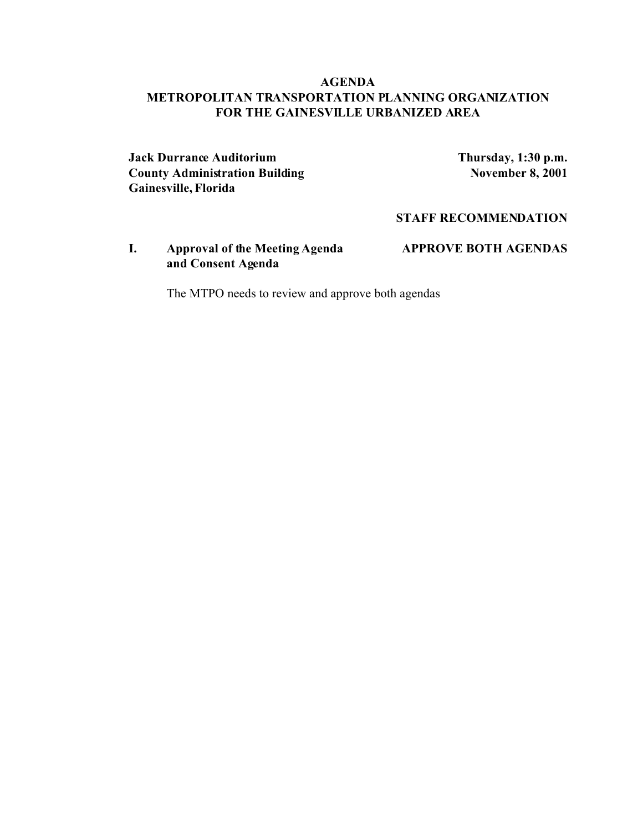## **AGENDA METROPOLITAN TRANSPORTATION PLANNING ORGANIZATION FOR THE GAINESVILLE URBANIZED AREA**

**Jack Durrance Auditorium Thursday, 1:30 p.m. County Administration Building**  November 8, 2001 **Gainesville, Florida**

**STAFF RECOMMENDATION**

**I. Approval of the Meeting Agenda APPROVE BOTH AGENDAS and Consent Agenda**

The MTPO needs to review and approve both agendas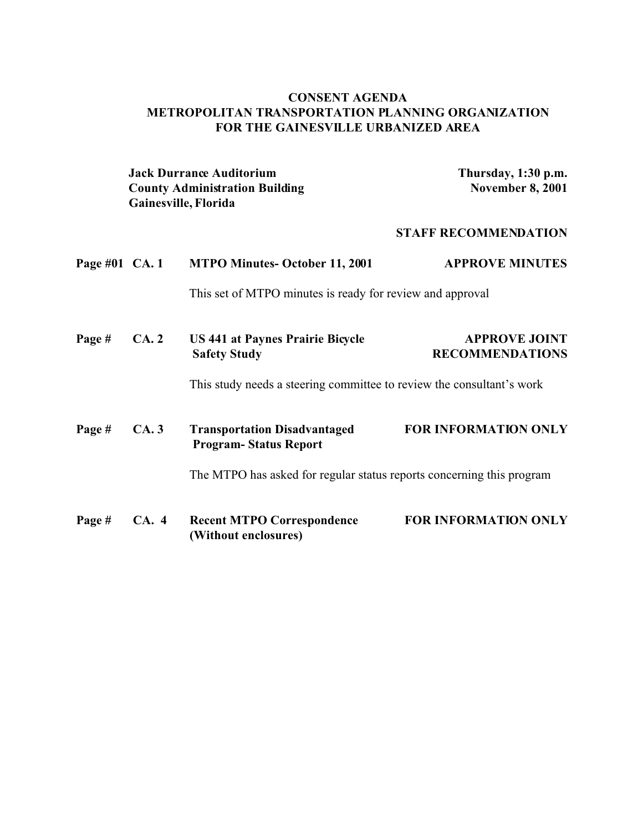## **CONSENT AGENDA METROPOLITAN TRANSPORTATION PLANNING ORGANIZATION FOR THE GAINESVILLE URBANIZED AREA**

|                |                                                                       | <b>Jack Durrance Auditorium</b><br><b>County Administration Building</b><br>Gainesville, Florida | Thursday, 1:30 p.m.<br><b>November 8, 2001</b> |  |
|----------------|-----------------------------------------------------------------------|--------------------------------------------------------------------------------------------------|------------------------------------------------|--|
|                |                                                                       |                                                                                                  | <b>STAFF RECOMMENDATION</b>                    |  |
| Page #01 CA. 1 |                                                                       | <b>MTPO Minutes-October 11, 2001</b>                                                             | <b>APPROVE MINUTES</b>                         |  |
|                |                                                                       | This set of MTPO minutes is ready for review and approval                                        |                                                |  |
| Page#          | CA.2                                                                  | <b>US 441 at Paynes Prairie Bicycle</b><br><b>Safety Study</b>                                   | <b>APPROVE JOINT</b><br><b>RECOMMENDATIONS</b> |  |
|                |                                                                       | This study needs a steering committee to review the consultant's work                            |                                                |  |
| Page #         | CA.3                                                                  | <b>Transportation Disadvantaged</b><br><b>Program-Status Report</b>                              | <b>FOR INFORMATION ONLY</b>                    |  |
|                | The MTPO has asked for regular status reports concerning this program |                                                                                                  |                                                |  |
| Page#          | CA. 4                                                                 | <b>Recent MTPO Correspondence</b><br>(Without enclosures)                                        | <b>FOR INFORMATION ONLY</b>                    |  |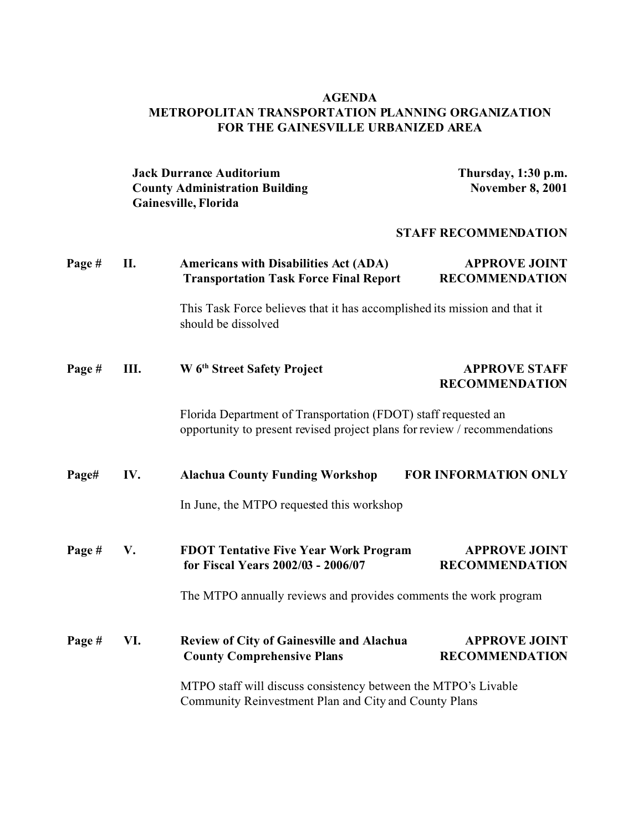## **AGENDA METROPOLITAN TRANSPORTATION PLANNING ORGANIZATION FOR THE GAINESVILLE URBANIZED AREA**

**Jack Durrance Auditorium**<br> **County Administration Building**<br> **Thursday, 1:30 p.m.**<br> **November 8, 2001 County Administration Building Gainesville, Florida**

## **STAFF RECOMMENDATION**

| Page # | П.   | <b>Americans with Disabilities Act (ADA)</b><br><b>Transportation Task Force Final Report</b>                                               | <b>APPROVE JOINT</b><br><b>RECOMMENDATION</b> |  |
|--------|------|---------------------------------------------------------------------------------------------------------------------------------------------|-----------------------------------------------|--|
|        |      | This Task Force believes that it has accomplished its mission and that it<br>should be dissolved                                            |                                               |  |
| Page # | III. | W 6 <sup>th</sup> Street Safety Project                                                                                                     | <b>APPROVE STAFF</b><br><b>RECOMMENDATION</b> |  |
|        |      | Florida Department of Transportation (FDOT) staff requested an<br>opportunity to present revised project plans for review / recommendations |                                               |  |
| Page#  | IV.  | <b>Alachua County Funding Workshop</b>                                                                                                      | <b>FOR INFORMATION ONLY</b>                   |  |
|        |      | In June, the MTPO requested this workshop                                                                                                   |                                               |  |
| Page # | V.   | <b>FDOT Tentative Five Year Work Program</b><br>for Fiscal Years 2002/03 - 2006/07                                                          | <b>APPROVE JOINT</b><br><b>RECOMMENDATION</b> |  |
|        |      | The MTPO annually reviews and provides comments the work program                                                                            |                                               |  |
| Page # | VI.  | <b>Review of City of Gainesville and Alachua</b><br><b>County Comprehensive Plans</b>                                                       | <b>APPROVE JOINT</b><br><b>RECOMMENDATION</b> |  |
|        |      | MTPO staff will discuss consistency between the MTPO's Livable<br>Community Reinvestment Plan and City and County Plans                     |                                               |  |